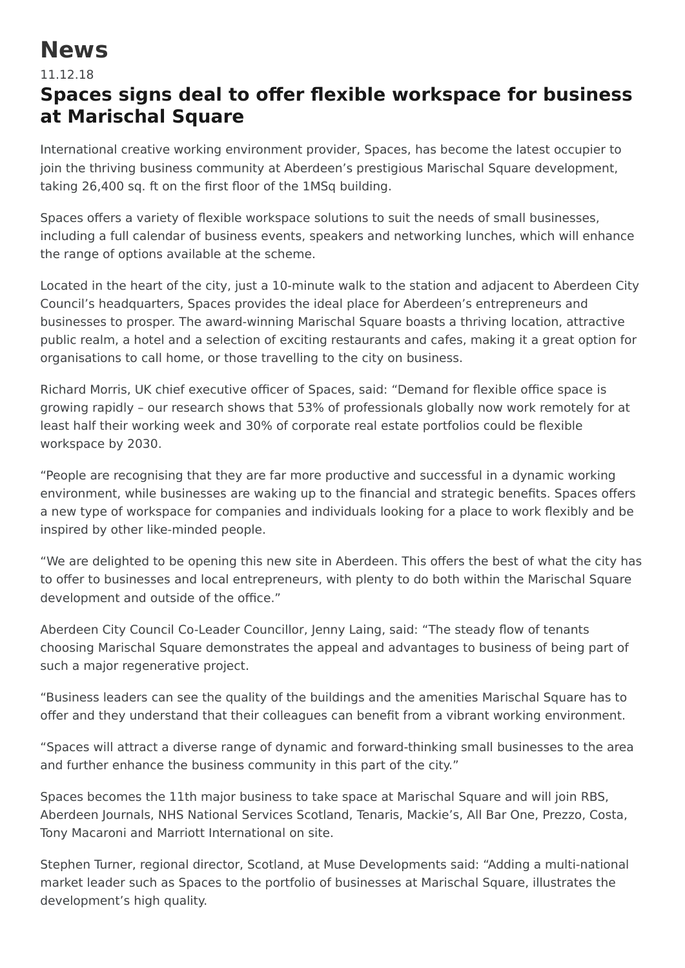## **News**

## 11.12.18

## **Spaces signs deal to offer flexible workspace for business at Marischal Square**

International creative working environment provider, Spaces, has become the latest occupier to join the thriving business community at Aberdeen's prestigious Marischal Square development, taking 26,400 sq. ft on the first floor of the 1MSq building.

Spaces offers a variety of flexible workspace solutions to suit the needs of small businesses, including a full calendar of business events, speakers and networking lunches, which will enhance the range of options available at the scheme.

Located in the heart of the city, just a 10-minute walk to the station and adjacent to Aberdeen City Council's headquarters, Spaces provides the ideal place for Aberdeen's entrepreneurs and businesses to prosper. The award-winning Marischal Square boasts a thriving location, attractive public realm, a hotel and a selection of exciting restaurants and cafes, making it a great option for organisations to call home, or those travelling to the city on business.

Richard Morris, UK chief executive officer of Spaces, said: "Demand for flexible office space is growing rapidly – our research shows that 53% of professionals globally now work remotely for at least half their working week and 30% of corporate real estate portfolios could be flexible workspace by 2030.

"People are recognising that they are far more productive and successful in a dynamic working environment, while businesses are waking up to the financial and strategic benefits. Spaces offers a new type of workspace for companies and individuals looking for a place to work flexibly and be inspired by other like-minded people.

"We are delighted to be opening this new site in Aberdeen. This offers the best of what the city has to offer to businesses and local entrepreneurs, with plenty to do both within the Marischal Square development and outside of the office."

Aberdeen City Council Co-Leader Councillor, Jenny Laing, said: "The steady flow of tenants choosing Marischal Square demonstrates the appeal and advantages to business of being part of such a major regenerative project.

"Business leaders can see the quality of the buildings and the amenities Marischal Square has to offer and they understand that their colleagues can benefit from a vibrant working environment.

"Spaces will attract a diverse range of dynamic and forward-thinking small businesses to the area and further enhance the business community in this part of the city."

Spaces becomes the 11th major business to take space at Marischal Square and will join RBS, Aberdeen Journals, NHS National Services Scotland, Tenaris, Mackie's, All Bar One, Prezzo, Costa, Tony Macaroni and Marriott International on site.

Stephen Turner, regional director, Scotland, at Muse Developments said: "Adding a multi-national market leader such as Spaces to the portfolio of businesses at Marischal Square, illustrates the development's high quality.